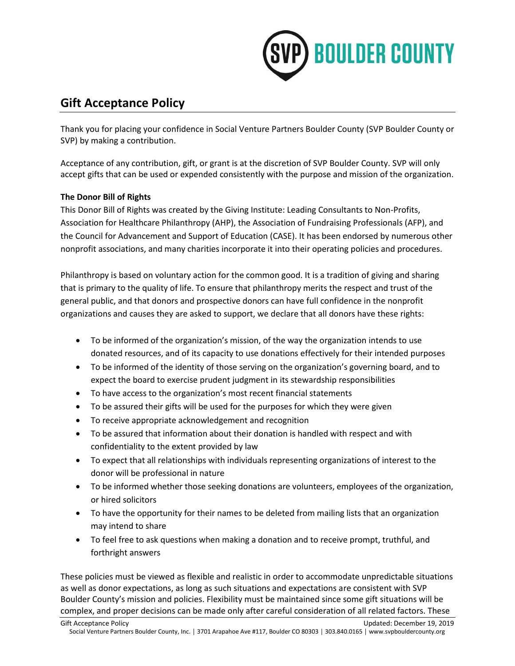

# **Gift Acceptance Policy**

Thank you for placing your confidence in Social Venture Partners Boulder County (SVP Boulder County or SVP) by making a contribution.

Acceptance of any contribution, gift, or grant is at the discretion of SVP Boulder County. SVP will only accept gifts that can be used or expended consistently with the purpose and mission of the organization.

### **The Donor Bill of Rights**

This Donor Bill of Rights was created by the Giving Institute: Leading Consultants to Non-Profits, Association for Healthcare Philanthropy (AHP), the Association of Fundraising Professionals (AFP), and the Council for Advancement and Support of Education (CASE). It has been endorsed by numerous other nonprofit associations, and many charities incorporate it into their operating policies and procedures.

Philanthropy is based on voluntary action for the common good. It is a tradition of giving and sharing that is primary to the quality of life. To ensure that philanthropy merits the respect and trust of the general public, and that donors and prospective donors can have full confidence in the nonprofit organizations and causes they are asked to support, we declare that all donors have these rights:

- To be informed of the organization's mission, of the way the organization intends to use donated resources, and of its capacity to use donations effectively for their intended purposes
- To be informed of the identity of those serving on the organization's governing board, and to expect the board to exercise prudent judgment in its stewardship responsibilities
- To have access to the organization's most recent financial statements
- To be assured their gifts will be used for the purposes for which they were given
- To receive appropriate acknowledgement and recognition
- To be assured that information about their donation is handled with respect and with confidentiality to the extent provided by law
- To expect that all relationships with individuals representing organizations of interest to the donor will be professional in nature
- To be informed whether those seeking donations are volunteers, employees of the organization, or hired solicitors
- To have the opportunity for their names to be deleted from mailing lists that an organization may intend to share
- To feel free to ask questions when making a donation and to receive prompt, truthful, and forthright answers

These policies must be viewed as flexible and realistic in order to accommodate unpredictable situations as well as donor expectations, as long as such situations and expectations are consistent with SVP Boulder County's mission and policies. Flexibility must be maintained since some gift situations will be complex, and proper decisions can be made only after careful consideration of all related factors. These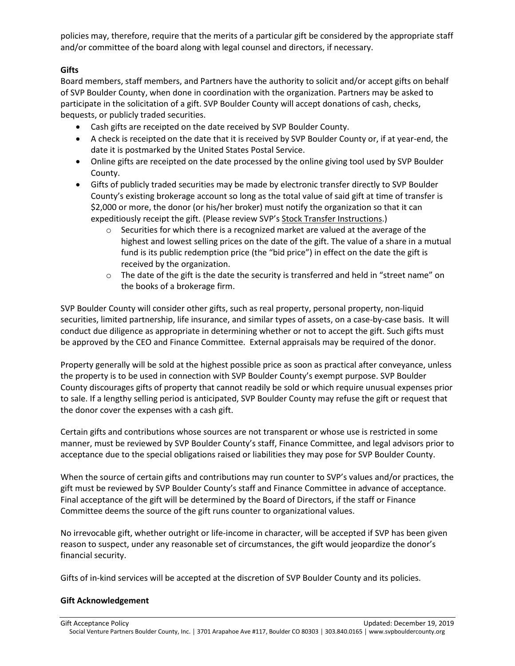policies may, therefore, require that the merits of a particular gift be considered by the appropriate staff and/or committee of the board along with legal counsel and directors, if necessary.

### **Gifts**

Board members, staff members, and Partners have the authority to solicit and/or accept gifts on behalf of SVP Boulder County, when done in coordination with the organization. Partners may be asked to participate in the solicitation of a gift. SVP Boulder County will accept donations of cash, checks, bequests, or publicly traded securities.

- Cash gifts are receipted on the date received by SVP Boulder County.
- A check is receipted on the date that it is received by SVP Boulder County or, if at year-end, the date it is postmarked by the United States Postal Service.
- Online gifts are receipted on the date processed by the online giving tool used by SVP Boulder County.
- Gifts of publicly traded securities may be made by electronic transfer directly to SVP Boulder County's existing brokerage account so long as the total value of said gift at time of transfer is \$2,000 or more, the donor (or his/her broker) must notify the organization so that it can expeditiously receipt the gift. (Please review SVP's [Stock Transfer Instructions.](http://socialventurepartners.org.s3.amazonaws.com/www.socialventurepartners.org/sites/60/2014/05/SVP-Stock-Transfer-Instructions-2014.pdf))
	- $\circ$  Securities for which there is a recognized market are valued at the average of the highest and lowest selling prices on the date of the gift. The value of a share in a mutual fund is its public redemption price (the "bid price") in effect on the date the gift is received by the organization.
	- $\circ$  The date of the gift is the date the security is transferred and held in "street name" on the books of a brokerage firm.

SVP Boulder County will consider other gifts, such as real property, personal property, non-liquid securities, limited partnership, life insurance, and similar types of assets, on a case-by-case basis. It will conduct due diligence as appropriate in determining whether or not to accept the gift. Such gifts must be approved by the CEO and Finance Committee. External appraisals may be required of the donor.

Property generally will be sold at the highest possible price as soon as practical after conveyance, unless the property is to be used in connection with SVP Boulder County's exempt purpose. SVP Boulder County discourages gifts of property that cannot readily be sold or which require unusual expenses prior to sale. If a lengthy selling period is anticipated, SVP Boulder County may refuse the gift or request that the donor cover the expenses with a cash gift.

Certain gifts and contributions whose sources are not transparent or whose use is restricted in some manner, must be reviewed by SVP Boulder County's staff, Finance Committee, and legal advisors prior to acceptance due to the special obligations raised or liabilities they may pose for SVP Boulder County.

When the source of certain gifts and contributions may run counter to SVP's values and/or practices, the gift must be reviewed by SVP Boulder County's staff and Finance Committee in advance of acceptance. Final acceptance of the gift will be determined by the Board of Directors, if the staff or Finance Committee deems the source of the gift runs counter to organizational values.

No irrevocable gift, whether outright or life-income in character, will be accepted if SVP has been given reason to suspect, under any reasonable set of circumstances, the gift would jeopardize the donor's financial security.

Gifts of in-kind services will be accepted at the discretion of SVP Boulder County and its policies.

#### **Gift Acknowledgement**

Gift Acceptance Policy **Contract Policy** Contract 2019 Updated: December 19, 2019 Social Venture Partners Boulder County, Inc. │ 3701 Arapahoe Ave #117, Boulder CO 80303 │ 303.840.0165 │ www.svpbouldercounty.org